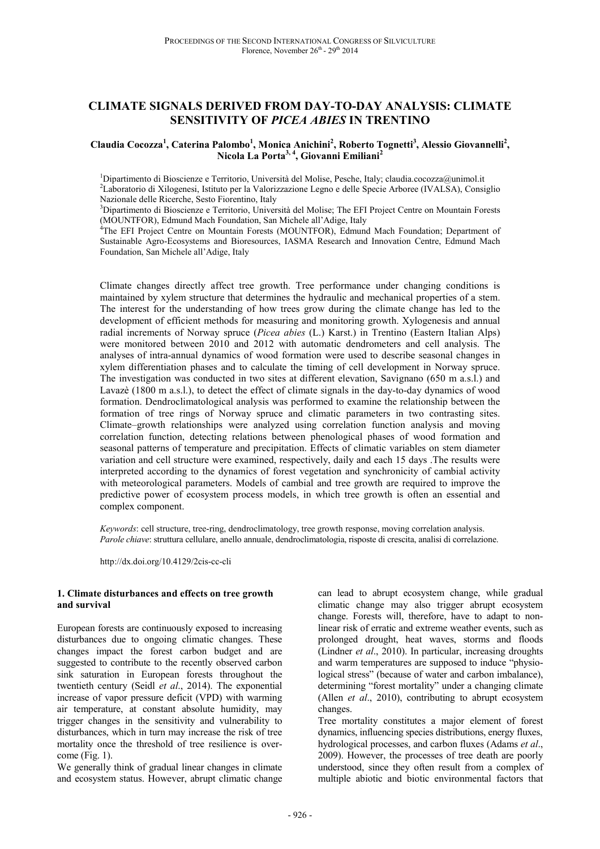# **CLIMATE SIGNALS DERIVED FROM DAY-TO-DAY ANALYSIS: CLIMATE SENSITIVITY OF** *PICEA ABIES* **IN TRENTINO**

#### **Claudia Cocozza<sup>1</sup> , Caterina Palombo<sup>1</sup> , Monica Anichini<sup>2</sup> , Roberto Tognetti<sup>3</sup> , Alessio Giovannelli<sup>2</sup> , Nicola La Porta3, 4, Giovanni Emiliani<sup>2</sup>**

 $1$ Dipartimento di Bioscienze e Territorio, Università del Molise, Pesche, Italy; claudia.cocozza@unimol.it <sup>2</sup>Laboratorio di Xilogenesi, Istituto per la Valorizzazione Legno e delle Specie Arboree (IVALSA), Consiglio Nazionale delle Ricerche, Sesto Fiorentino, Italy

<sup>3</sup>Dipartimento di Bioscienze e Territorio, Università del Molise; The EFI Project Centre on Mountain Forests (MOUNTFOR), Edmund Mach Foundation, San Michele all'Adige, Italy

<sup>4</sup>The EFI Project Centre on Mountain Forests (MOUNTFOR), Edmund Mach Foundation; Department of Sustainable Agro-Ecosystems and Bioresources, IASMA Research and Innovation Centre, Edmund Mach Foundation, San Michele all'Adige, Italy

Climate changes directly affect tree growth. Tree performance under changing conditions is maintained by xylem structure that determines the hydraulic and mechanical properties of a stem. The interest for the understanding of how trees grow during the climate change has led to the development of efficient methods for measuring and monitoring growth. Xylogenesis and annual radial increments of Norway spruce (*Picea abies* (L.) Karst.) in Trentino (Eastern Italian Alps) were monitored between 2010 and 2012 with automatic dendrometers and cell analysis. The analyses of intra-annual dynamics of wood formation were used to describe seasonal changes in xylem differentiation phases and to calculate the timing of cell development in Norway spruce. The investigation was conducted in two sites at different elevation, Savignano (650 m a.s.l.) and Lavazè (1800 m a.s.l.), to detect the effect of climate signals in the day-to-day dynamics of wood formation. Dendroclimatological analysis was performed to examine the relationship between the formation of tree rings of Norway spruce and climatic parameters in two contrasting sites. Climate–growth relationships were analyzed using correlation function analysis and moving correlation function, detecting relations between phenological phases of wood formation and seasonal patterns of temperature and precipitation. Effects of climatic variables on stem diameter variation and cell structure were examined, respectively, daily and each 15 days .The results were interpreted according to the dynamics of forest vegetation and synchronicity of cambial activity with meteorological parameters. Models of cambial and tree growth are required to improve the predictive power of ecosystem process models, in which tree growth is often an essential and complex component.

*Keywords*: cell structure, tree-ring, dendroclimatology, tree growth response, moving correlation analysis. *Parole chiave*: struttura cellulare, anello annuale, dendroclimatologia, risposte di crescita, analisi di correlazione.

http://dx.doi.org/10.4129/2cis-cc-cli

#### **1. Climate disturbances and effects on tree growth and survival**

European forests are continuously exposed to increasing disturbances due to ongoing climatic changes. These changes impact the forest carbon budget and are suggested to contribute to the recently observed carbon sink saturation in European forests throughout the twentieth century (Seidl *et al*., 2014). The exponential increase of vapor pressure deficit (VPD) with warming air temperature, at constant absolute humidity, may trigger changes in the sensitivity and vulnerability to disturbances, which in turn may increase the risk of tree mortality once the threshold of tree resilience is overcome (Fig. 1).

We generally think of gradual linear changes in climate and ecosystem status. However, abrupt climatic change can lead to abrupt ecosystem change, while gradual climatic change may also trigger abrupt ecosystem change. Forests will, therefore, have to adapt to nonlinear risk of erratic and extreme weather events, such as prolonged drought, heat waves, storms and floods (Lindner *et al*., 2010). In particular, increasing droughts and warm temperatures are supposed to induce "physiological stress" (because of water and carbon imbalance), determining "forest mortality" under a changing climate (Allen *et al*., 2010), contributing to abrupt ecosystem changes.

Tree mortality constitutes a major element of forest dynamics, influencing species distributions, energy fluxes, hydrological processes, and carbon fluxes (Adams *et al*., 2009). However, the processes of tree death are poorly understood, since they often result from a complex of multiple abiotic and biotic environmental factors that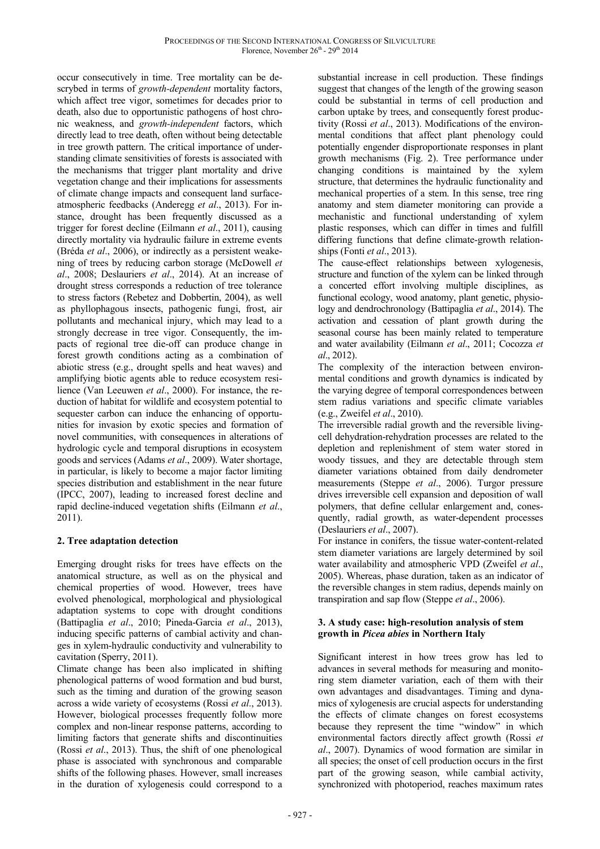occur consecutively in time. Tree mortality can be descrybed in terms of *growth-dependent* mortality factors, which affect tree vigor, sometimes for decades prior to death, also due to opportunistic pathogens of host chronic weakness, and *growth-independent* factors, which directly lead to tree death, often without being detectable in tree growth pattern. The critical importance of understanding climate sensitivities of forests is associated with the mechanisms that trigger plant mortality and drive vegetation change and their implications for assessments of climate change impacts and consequent land surfaceatmospheric feedbacks (Anderegg *et al*., 2013). For instance, drought has been frequently discussed as a trigger for forest decline (Eilmann *et al*., 2011), causing directly mortality via hydraulic failure in extreme events (Bréda *et al*., 2006), or indirectly as a persistent weakening of trees by reducing carbon storage (McDowell *et al*., 2008; Deslauriers *et al*., 2014). At an increase of drought stress corresponds a reduction of tree tolerance to stress factors (Rebetez and Dobbertin, 2004), as well as phyllophagous insects, pathogenic fungi, frost, air pollutants and mechanical injury, which may lead to a strongly decrease in tree vigor. Consequently, the impacts of regional tree die-off can produce change in forest growth conditions acting as a combination of abiotic stress (e.g., drought spells and heat waves) and amplifying biotic agents able to reduce ecosystem resilience (Van Leeuwen *et al*., 2000). For instance, the reduction of habitat for wildlife and ecosystem potential to sequester carbon can induce the enhancing of opportunities for invasion by exotic species and formation of novel communities, with consequences in alterations of hydrologic cycle and temporal disruptions in ecosystem goods and services (Adams *et al*., 2009). Water shortage, in particular, is likely to become a major factor limiting species distribution and establishment in the near future (IPCC, 2007), leading to increased forest decline and rapid decline-induced vegetation shifts (Eilmann *et al*., 2011).

## **2. Tree adaptation detection**

Emerging drought risks for trees have effects on the anatomical structure, as well as on the physical and chemical properties of wood. However, trees have evolved phenological, morphological and physiological adaptation systems to cope with drought conditions (Battipaglia *et al*., 2010; Pineda-Garcia *et al*., 2013), inducing specific patterns of cambial activity and changes in xylem-hydraulic conductivity and vulnerability to cavitation (Sperry, 2011).

Climate change has been also implicated in shifting phenological patterns of wood formation and bud burst, such as the timing and duration of the growing season across a wide variety of ecosystems (Rossi *et al*., 2013). However, biological processes frequently follow more complex and non-linear response patterns, according to limiting factors that generate shifts and discontinuities (Rossi *et al*., 2013). Thus, the shift of one phenological phase is associated with synchronous and comparable shifts of the following phases. However, small increases in the duration of xylogenesis could correspond to a

substantial increase in cell production. These findings suggest that changes of the length of the growing season could be substantial in terms of cell production and carbon uptake by trees, and consequently forest productivity (Rossi *et al*., 2013). Modifications of the environmental conditions that affect plant phenology could potentially engender disproportionate responses in plant growth mechanisms (Fig. 2). Tree performance under changing conditions is maintained by the xylem structure, that determines the hydraulic functionality and mechanical properties of a stem. In this sense, tree ring anatomy and stem diameter monitoring can provide a mechanistic and functional understanding of xylem plastic responses, which can differ in times and fulfill differing functions that define climate-growth relationships (Fonti *et al*., 2013).

The cause-effect relationships between xylogenesis, structure and function of the xylem can be linked through a concerted effort involving multiple disciplines, as functional ecology, wood anatomy, plant genetic, physiology and dendrochronology (Battipaglia *et al*., 2014). The activation and cessation of plant growth during the seasonal course has been mainly related to temperature and water availability (Eilmann *et al*., 2011; Cocozza *et al*., 2012).

The complexity of the interaction between environmental conditions and growth dynamics is indicated by the varying degree of temporal correspondences between stem radius variations and specific climate variables (e.g., Zweifel *et al*., 2010).

The irreversible radial growth and the reversible livingcell dehydration-rehydration processes are related to the depletion and replenishment of stem water stored in woody tissues, and they are detectable through stem diameter variations obtained from daily dendrometer measurements (Steppe *et al*., 2006). Turgor pressure drives irreversible cell expansion and deposition of wall polymers, that define cellular enlargement and, conesquently, radial growth, as water-dependent processes (Deslauriers *et al*., 2007).

For instance in conifers, the tissue water-content-related stem diameter variations are largely determined by soil water availability and atmospheric VPD (Zweifel *et al*., 2005). Whereas, phase duration, taken as an indicator of the reversible changes in stem radius, depends mainly on transpiration and sap flow (Steppe *et al*., 2006).

### **3. A study case: high-resolution analysis of stem growth in** *Picea abies* **in Northern Italy**

Significant interest in how trees grow has led to advances in several methods for measuring and monitoring stem diameter variation, each of them with their own advantages and disadvantages. Timing and dynamics of xylogenesis are crucial aspects for understanding the effects of climate changes on forest ecosystems because they represent the time "window" in which environmental factors directly affect growth (Rossi *et al*., 2007). Dynamics of wood formation are similar in all species; the onset of cell production occurs in the first part of the growing season, while cambial activity, synchronized with photoperiod, reaches maximum rates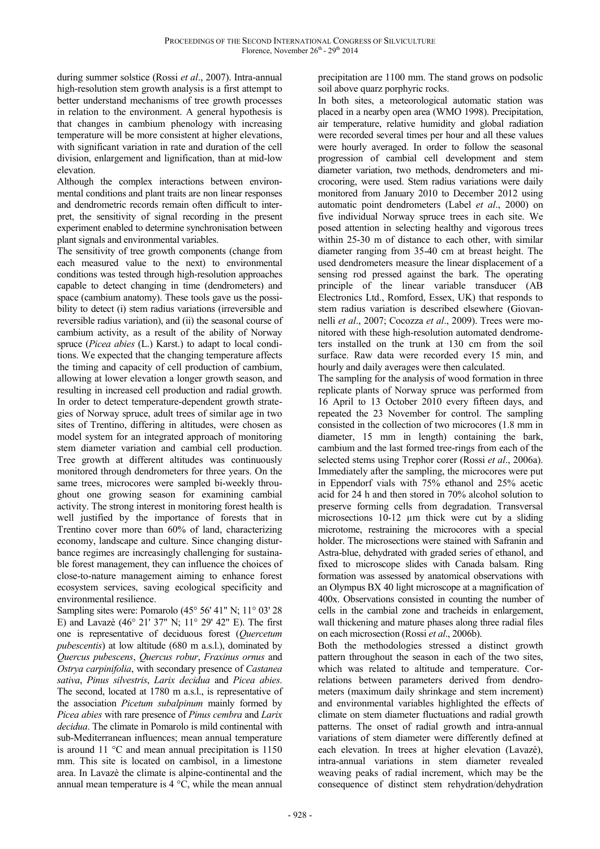during summer solstice (Rossi *et al*., 2007). Intra-annual high-resolution stem growth analysis is a first attempt to better understand mechanisms of tree growth processes in relation to the environment. A general hypothesis is that changes in cambium phenology with increasing temperature will be more consistent at higher elevations, with significant variation in rate and duration of the cell division, enlargement and lignification, than at mid-low elevation.

Although the complex interactions between environmental conditions and plant traits are non linear responses and dendrometric records remain often difficult to interpret, the sensitivity of signal recording in the present experiment enabled to determine synchronisation between plant signals and environmental variables.

The sensitivity of tree growth components (change from each measured value to the next) to environmental conditions was tested through high-resolution approaches capable to detect changing in time (dendrometers) and space (cambium anatomy). These tools gave us the possibility to detect (i) stem radius variations (irreversible and reversible radius variation), and (ii) the seasonal course of cambium activity, as a result of the ability of Norway spruce (*Picea abies* (L.) Karst.) to adapt to local conditions. We expected that the changing temperature affects the timing and capacity of cell production of cambium, allowing at lower elevation a longer growth season, and resulting in increased cell production and radial growth. In order to detect temperature-dependent growth strategies of Norway spruce, adult trees of similar age in two sites of Trentino, differing in altitudes, were chosen as model system for an integrated approach of monitoring stem diameter variation and cambial cell production. Tree growth at different altitudes was continuously monitored through dendrometers for three years. On the same trees, microcores were sampled bi-weekly throughout one growing season for examining cambial activity. The strong interest in monitoring forest health is well justified by the importance of forests that in Trentino cover more than 60% of land, characterizing economy, landscape and culture. Since changing disturbance regimes are increasingly challenging for sustainable forest management, they can influence the choices of close-to-nature management aiming to enhance forest ecosystem services, saving ecological specificity and environmental resilience.

Sampling sites were: Pomarolo (45° 56' 41" N; 11° 03' 28 E) and Lavazè (46° 21' 37" N; 11° 29' 42" E). The first one is representative of deciduous forest (*Quercetum pubescentis*) at low altitude (680 m a.s.l.), dominated by *Quercus pubescens*, *Quercus robur*, *Fraxinus ornus* and *Ostrya carpinifolia*, with secondary presence of *Castanea sativa*, *Pinus silvestris*, *Larix decidua* and *Picea abies*. The second, located at 1780 m a.s.l., is representative of the association *Picetum subalpinum* mainly formed by *Picea abies* with rare presence of *Pinus cembra* and *Larix decidua*. The climate in Pomarolo is mild continental with sub-Mediterranean influences; mean annual temperature is around 11 °C and mean annual precipitation is 1150 mm. This site is located on cambisol, in a limestone area. In Lavazè the climate is alpine-continental and the annual mean temperature is 4 °C, while the mean annual

precipitation are 1100 mm. The stand grows on podsolic soil above quarz porphyric rocks.

In both sites, a meteorological automatic station was placed in a nearby open area (WMO 1998). Precipitation, air temperature, relative humidity and global radiation were recorded several times per hour and all these values were hourly averaged. In order to follow the seasonal progression of cambial cell development and stem diameter variation, two methods, dendrometers and microcoring, were used. Stem radius variations were daily monitored from January 2010 to December 2012 using automatic point dendrometers (Label *et al*., 2000) on five individual Norway spruce trees in each site. We posed attention in selecting healthy and vigorous trees within 25-30 m of distance to each other, with similar diameter ranging from 35-40 cm at breast height. The used dendrometers measure the linear displacement of a sensing rod pressed against the bark. The operating principle of the linear variable transducer (AB Electronics Ltd., Romford, Essex, UK) that responds to stem radius variation is described elsewhere (Giovannelli *et al*., 2007; Cocozza *et al*., 2009). Trees were monitored with these high-resolution automated dendrometers installed on the trunk at 130 cm from the soil surface. Raw data were recorded every 15 min, and hourly and daily averages were then calculated.

The sampling for the analysis of wood formation in three replicate plants of Norway spruce was performed from 16 April to 13 October 2010 every fifteen days, and repeated the 23 November for control. The sampling consisted in the collection of two microcores (1.8 mm in diameter, 15 mm in length) containing the bark, cambium and the last formed tree-rings from each of the selected stems using Trephor corer (Rossi *et al*., 2006a). Immediately after the sampling, the microcores were put in Eppendorf vials with 75% ethanol and 25% acetic acid for 24 h and then stored in 70% alcohol solution to preserve forming cells from degradation. Transversal microsections 10-12 um thick were cut by a sliding microtome, restraining the microcores with a special holder. The microsections were stained with Safranin and Astra-blue, dehydrated with graded series of ethanol, and fixed to microscope slides with Canada balsam. Ring formation was assessed by anatomical observations with an Olympus BX 40 light microscope at a magnification of 400x. Observations consisted in counting the number of cells in the cambial zone and tracheids in enlargement, wall thickening and mature phases along three radial files on each microsection (Rossi *et al*., 2006b).

Both the methodologies stressed a distinct growth pattern throughout the season in each of the two sites, which was related to altitude and temperature. Correlations between parameters derived from dendrometers (maximum daily shrinkage and stem increment) and environmental variables highlighted the effects of climate on stem diameter fluctuations and radial growth patterns. The onset of radial growth and intra-annual variations of stem diameter were differently defined at each elevation. In trees at higher elevation (Lavazè), intra-annual variations in stem diameter revealed weaving peaks of radial increment, which may be the consequence of distinct stem rehydration/dehydration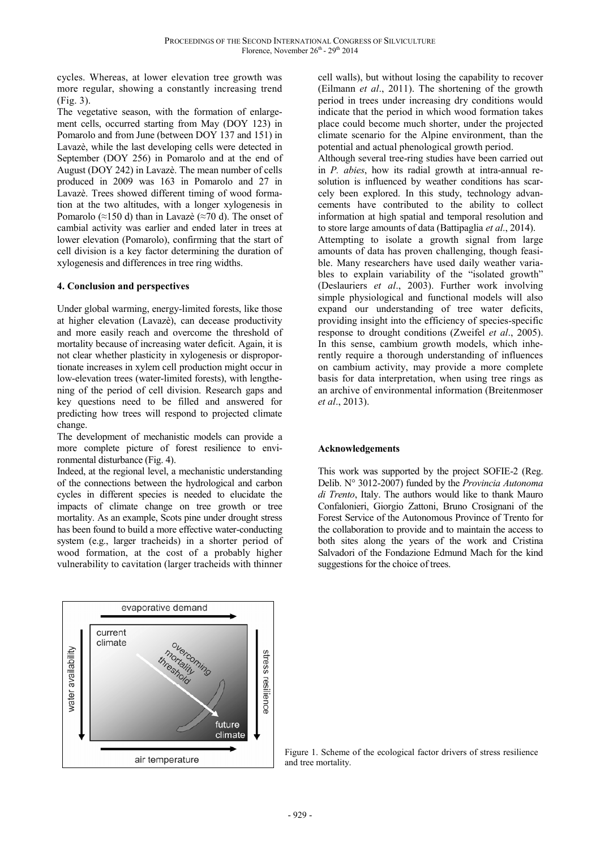cycles. Whereas, at lower elevation tree growth was more regular, showing a constantly increasing trend (Fig. 3).

The vegetative season, with the formation of enlargement cells, occurred starting from May (DOY 123) in Pomarolo and from June (between DOY 137 and 151) in Lavazè, while the last developing cells were detected in September (DOY 256) in Pomarolo and at the end of August (DOY 242) in Lavazè. The mean number of cells produced in 2009 was 163 in Pomarolo and 27 in Lavazè. Trees showed different timing of wood formation at the two altitudes, with a longer xylogenesis in Pomarolo (≈150 d) than in Lavazè (≈70 d). The onset of cambial activity was earlier and ended later in trees at lower elevation (Pomarolo), confirming that the start of cell division is a key factor determining the duration of xylogenesis and differences in tree ring widths.

#### **4. Conclusion and perspectives**

Under global warming, energy-limited forests, like those at higher elevation (Lavazè), can decease productivity and more easily reach and overcome the threshold of mortality because of increasing water deficit. Again, it is not clear whether plasticity in xylogenesis or disproportionate increases in xylem cell production might occur in low-elevation trees (water-limited forests), with lengthening of the period of cell division. Research gaps and key questions need to be filled and answered for predicting how trees will respond to projected climate change.

The development of mechanistic models can provide a more complete picture of forest resilience to environmental disturbance (Fig. 4).

Indeed, at the regional level, a mechanistic understanding of the connections between the hydrological and carbon cycles in different species is needed to elucidate the impacts of climate change on tree growth or tree mortality. As an example, Scots pine under drought stress has been found to build a more effective water-conducting system (e.g., larger tracheids) in a shorter period of wood formation, at the cost of a probably higher vulnerability to cavitation (larger tracheids with thinner



cell walls), but without losing the capability to recover (Eilmann *et al*., 2011). The shortening of the growth period in trees under increasing dry conditions would indicate that the period in which wood formation takes place could become much shorter, under the projected climate scenario for the Alpine environment, than the potential and actual phenological growth period.

Although several tree-ring studies have been carried out in *P. abies*, how its radial growth at intra-annual resolution is influenced by weather conditions has scarcely been explored. In this study, technology advancements have contributed to the ability to collect information at high spatial and temporal resolution and to store large amounts of data (Battipaglia *et al*., 2014). Attempting to isolate a growth signal from large amounts of data has proven challenging, though feasible. Many researchers have used daily weather variables to explain variability of the "isolated growth" (Deslauriers *et al*., 2003). Further work involving simple physiological and functional models will also expand our understanding of tree water deficits, providing insight into the efficiency of species-specific response to drought conditions (Zweifel *et al*., 2005). In this sense, cambium growth models, which inherently require a thorough understanding of influences on cambium activity, may provide a more complete basis for data interpretation, when using tree rings as an archive of environmental information (Breitenmoser *et al*., 2013).

## **Acknowledgements**

This work was supported by the project SOFIE-2 (Reg. Delib. N° 3012-2007) funded by the *Provincia Autonoma di Trento*, Italy. The authors would like to thank Mauro Confalonieri, Giorgio Zattoni, Bruno Crosignani of the Forest Service of the Autonomous Province of Trento for the collaboration to provide and to maintain the access to both sites along the years of the work and Cristina Salvadori of the Fondazione Edmund Mach for the kind suggestions for the choice of trees.

Figure 1. Scheme of the ecological factor drivers of stress resilience and tree mortality.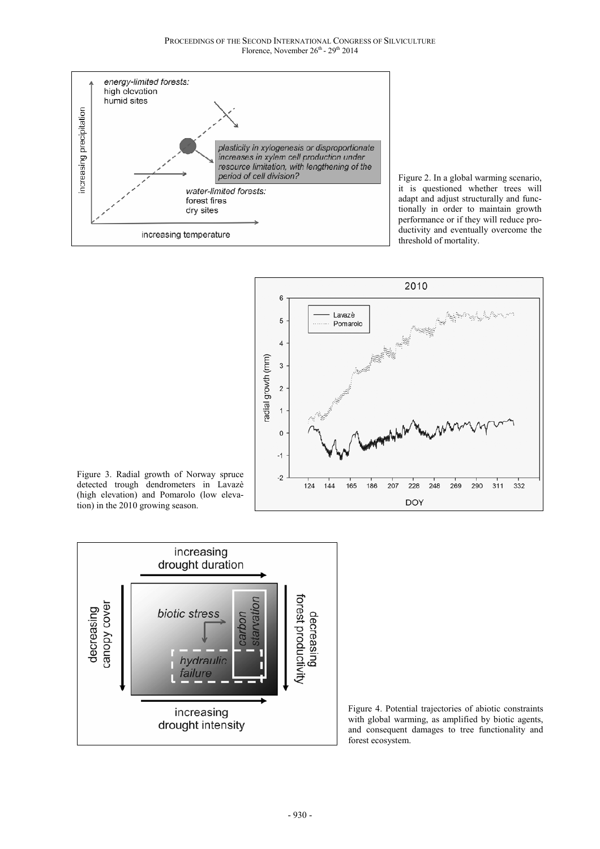

Figure 2. In a global warming scenario, it is questioned whether trees will adapt and adjust structurally and functionally in order to maintain growth performance or if they will reduce productivity and eventually overcome the threshold of mortality.



Figure 3. Radial growth of Norway spruce detected trough dendrometers in Lavazè (high elevation) and Pomarolo (low elevation) in the 2010 growing season.



Figure 4. Potential trajectories of abiotic constraints with global warming, as amplified by biotic agents, and consequent damages to tree functionality and forest ecosystem.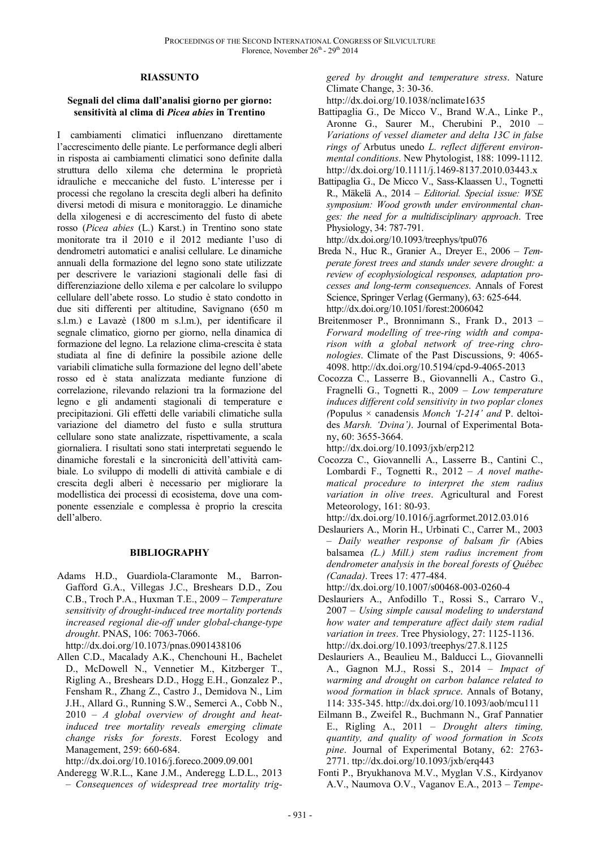#### **RIASSUNTO**

#### **Segnali del clima dall'analisi giorno per giorno: sensitività al clima di** *Picea abies* **in Trentino**

I cambiamenti climatici influenzano direttamente l'accrescimento delle piante. Le performance degli alberi in risposta ai cambiamenti climatici sono definite dalla struttura dello xilema che determina le proprietà idrauliche e meccaniche del fusto. L'interesse per i processi che regolano la crescita degli alberi ha definito diversi metodi di misura e monitoraggio. Le dinamiche della xilogenesi e di accrescimento del fusto di abete rosso (*Picea abies* (L.) Karst.) in Trentino sono state monitorate tra il 2010 e il 2012 mediante l'uso di dendrometri automatici e analisi cellulare. Le dinamiche annuali della formazione del legno sono state utilizzate per descrivere le variazioni stagionali delle fasi di differenziazione dello xilema e per calcolare lo sviluppo cellulare dell'abete rosso. Lo studio è stato condotto in due siti differenti per altitudine, Savignano (650 m s.l.m.) e Lavazè (1800 m s.l.m.), per identificare il segnale climatico, giorno per giorno, nella dinamica di formazione del legno. La relazione clima-crescita è stata studiata al fine di definire la possibile azione delle variabili climatiche sulla formazione del legno dell'abete rosso ed è stata analizzata mediante funzione di correlazione, rilevando relazioni tra la formazione del legno e gli andamenti stagionali di temperature e precipitazioni. Gli effetti delle variabili climatiche sulla variazione del diametro del fusto e sulla struttura cellulare sono state analizzate, rispettivamente, a scala giornaliera. I risultati sono stati interpretati seguendo le dinamiche forestali e la sincronicità dell'attività cambiale. Lo sviluppo di modelli di attività cambiale e di crescita degli alberi è necessario per migliorare la modellistica dei processi di ecosistema, dove una componente essenziale e complessa è proprio la crescita dell'albero.

#### **BIBLIOGRAPHY**

- Adams H.D., Guardiola-Claramonte M., Barron-Gafford G.A., Villegas J.C., Breshears D.D., Zou C.B., Troch P.A., Huxman T.E., 2009 – *Temperature sensitivity of drought-induced tree mortality portends increased regional die-off under global-change-type drought*. PNAS, 106: 7063-7066. http://dx.doi.org/10.1073/pnas.0901438106
- Allen C.D., Macalady A.K., Chenchouni H., Bachelet D., McDowell N., Vennetier M., Kitzberger T., Rigling A., Breshears D.D., Hogg E.H., Gonzalez P., Fensham R., Zhang Z., Castro J., Demidova N., Lim J.H., Allard G., Running S.W., Semerci A., Cobb N., 2010 – *A global overview of drought and heatinduced tree mortality reveals emerging climate change risks for forests*. Forest Ecology and Management, 259: 660-684.

http://dx.doi.org/10.1016/j.foreco.2009.09.001

Anderegg W.R.L., Kane J.M., Anderegg L.D.L., 2013 – *Consequences of widespread tree mortality trig-* *gered by drought and temperature stress*. Nature Climate Change, 3: 30-36.

http://dx.doi.org/10.1038/nclimate1635

- Battipaglia G., De Micco V., Brand W.A., Linke P., Aronne G., Saurer M., Cherubini P., 2010 – *Variations of vessel diameter and delta 13C in false rings of* Arbutus unedo *L. reflect different environmental conditions*. New Phytologist, 188: 1099-1112. http://dx.doi.org/10.1111/j.1469-8137.2010.03443.x
- Battipaglia G., De Micco V., Sass-Klaassen U., Tognetti R., Mäkelä A., 2014 – *Editorial. Special issue: WSE symposium: Wood growth under environmental changes: the need for a multidisciplinary approach*. Tree Physiology, 34: 787-791.

http://dx.doi.org/10.1093/treephys/tpu076

- Breda N., Huc R., Granier A., Dreyer E., 2006 *Temperate forest trees and stands under severe drought: a review of ecophysiological responses, adaptation processes and long-term consequences*. Annals of Forest Science, Springer Verlag (Germany), 63: 625-644. http://dx.doi.org/10.1051/forest:2006042
- Breitenmoser P., Bronnimann S., Frank D., 2013 *Forward modelling of tree-ring width and comparison with a global network of tree-ring chronologies*. Climate of the Past Discussions, 9: 4065- 4098. http://dx.doi.org/10.5194/cpd-9-4065-2013
- Cocozza C., Lasserre B., Giovannelli A., Castro G., Fragnelli G., Tognetti R., 2009 – *Low temperature induces different cold sensitivity in two poplar clones (*Populus × canadensis *Monch 'I-214' and* P. deltoides *Marsh. 'Dvina')*. Journal of Experimental Botany, 60: 3655-3664.

http://dx.doi.org/10.1093/jxb/erp212

Cocozza C., Giovannelli A., Lasserre B., Cantini C., Lombardi F., Tognetti R., 2012 – *A novel mathematical procedure to interpret the stem radius variation in olive trees*. Agricultural and Forest Meteorology, 161: 80-93.

http://dx.doi.org/10.1016/j.agrformet.2012.03.016

Deslauriers A., Morin H., Urbinati C., Carrer M., 2003 – *Daily weather response of balsam fir (*Abies balsamea *(L.) Mill.) stem radius increment from dendrometer analysis in the boreal forests of Québec (Canada)*. Trees 17: 477-484.

http://dx.doi.org/10.1007/s00468-003-0260-4

- Deslauriers A., Anfodillo T., Rossi S., Carraro V., 2007 – *Using simple causal modeling to understand how water and temperature affect daily stem radial variation in trees*. Tree Physiology, 27: 1125-1136. http://dx.doi.org/10.1093/treephys/27.8.1125
- Deslauriers A., Beaulieu M., Balducci L., Giovannelli A., Gagnon M.J., Rossi S., 2014 – *Impact of warming and drought on carbon balance related to wood formation in black spruce*. Annals of Botany, 114: 335-345. http://dx.doi.org/10.1093/aob/mcu111
- Eilmann B., Zweifel R., Buchmann N., Graf Pannatier E., Rigling A., 2011 – *Drought alters timing, quantity, and quality of wood formation in Scots pine*. Journal of Experimental Botany, 62: 2763- 2771. ttp://dx.doi.org/10.1093/jxb/erq443
- Fonti P., Bryukhanova M.V., Myglan V.S., Kirdyanov A.V., Naumova O.V., Vaganov E.A., 2013 – *Tempe-*